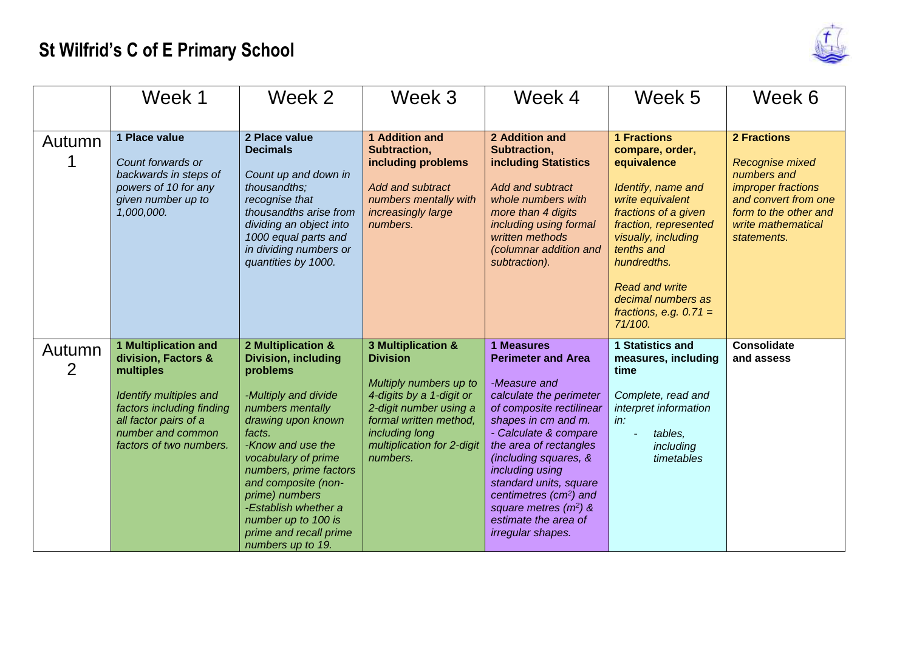## **St Wilfrid's C of E Primary School**



|             | Week 1                                                                                                                                                                                          | Week 2                                                                                                                                                                                                                                                                                                                                                | Week 3                                                                                                                                                                                                      | Week 4                                                                                                                                                                                                                                                                                                                                                                              | Week 5                                                                                                                                                                                                                                                                                    | Week 6                                                                                                                                                                         |
|-------------|-------------------------------------------------------------------------------------------------------------------------------------------------------------------------------------------------|-------------------------------------------------------------------------------------------------------------------------------------------------------------------------------------------------------------------------------------------------------------------------------------------------------------------------------------------------------|-------------------------------------------------------------------------------------------------------------------------------------------------------------------------------------------------------------|-------------------------------------------------------------------------------------------------------------------------------------------------------------------------------------------------------------------------------------------------------------------------------------------------------------------------------------------------------------------------------------|-------------------------------------------------------------------------------------------------------------------------------------------------------------------------------------------------------------------------------------------------------------------------------------------|--------------------------------------------------------------------------------------------------------------------------------------------------------------------------------|
| Autumn      | 1 Place value<br>Count forwards or<br>backwards in steps of<br>powers of 10 for any<br>given number up to<br>1,000,000.                                                                         | 2 Place value<br><b>Decimals</b><br>Count up and down in<br>thousandths;<br>recognise that<br>thousandths arise from<br>dividing an object into<br>1000 equal parts and<br>in dividing numbers or<br>quantities by 1000.                                                                                                                              | 1 Addition and<br>Subtraction,<br>including problems<br><b>Add and subtract</b><br>numbers mentally with<br>increasingly large<br>numbers.                                                                  | 2 Addition and<br>Subtraction,<br>including Statistics<br><b>Add and subtract</b><br>whole numbers with<br>more than 4 digits<br>including using formal<br>written methods<br>(columnar addition and<br>subtraction).                                                                                                                                                               | <b>1 Fractions</b><br>compare, order,<br>equivalence<br>Identify, name and<br>write equivalent<br>fractions of a given<br>fraction, represented<br>visually, including<br>tenths and<br>hundredths.<br><b>Read and write</b><br>decimal numbers as<br>fractions, e.g. $0.71 =$<br>71/100. | <b>2 Fractions</b><br><b>Recognise mixed</b><br>numbers and<br><i>improper fractions</i><br>and convert from one<br>form to the other and<br>write mathematical<br>statements. |
| Autumn<br>2 | <b>1 Multiplication and</b><br>division, Factors &<br>multiples<br>Identify multiples and<br>factors including finding<br>all factor pairs of a<br>number and common<br>factors of two numbers. | 2 Multiplication &<br><b>Division, including</b><br>problems<br>-Multiply and divide<br>numbers mentally<br>drawing upon known<br>facts.<br>-Know and use the<br>vocabulary of prime<br>numbers, prime factors<br>and composite (non-<br>prime) numbers<br>-Establish whether a<br>number up to 100 is<br>prime and recall prime<br>numbers up to 19. | 3 Multiplication &<br><b>Division</b><br>Multiply numbers up to<br>4-digits by a 1-digit or<br>2-digit number using a<br>formal written method,<br>including long<br>multiplication for 2-digit<br>numbers. | <b>1 Measures</b><br><b>Perimeter and Area</b><br>-Measure and<br>calculate the perimeter<br>of composite rectilinear<br>shapes in cm and m.<br>- Calculate & compare<br>the area of rectangles<br>(including squares, &<br>including using<br>standard units, square<br>centimetres (cm <sup>2</sup> ) and<br>square metres $(m^2)$ &<br>estimate the area of<br>irregular shapes. | 1 Statistics and<br>measures, including<br>time<br>Complete, read and<br>interpret information<br>in:<br>tables,<br>including<br>timetables                                                                                                                                               | <b>Consolidate</b><br>and assess                                                                                                                                               |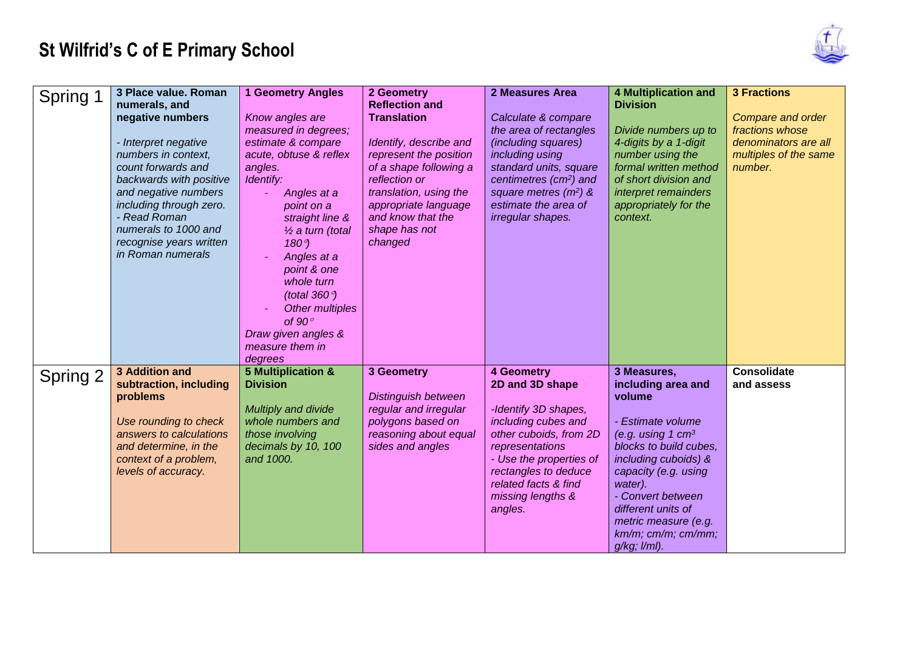## **St Wilfrid's C of E Primary School**



| Spring 1 | 3 Place value. Roman<br>numerals, and<br>negative numbers<br>- Interpret negative<br>numbers in context,<br>count forwards and<br>backwards with positive<br>and negative numbers<br>including through zero.<br>- Read Roman<br>numerals to 1000 and<br>recognise years written<br>in Roman numerals | <b>1 Geometry Angles</b><br>Know angles are<br>measured in degrees;<br>estimate & compare<br>acute, obtuse & reflex<br>angles.<br>Identify:<br>Angles at a<br>point on a<br>straight line &<br>$\frac{1}{2}$ a turn (total<br>$180^\circ$<br>Angles at a<br>point & one<br>whole turn<br>(total $360^\circ$ )<br>Other multiples<br>of $90^\circ$<br>Draw given angles &<br>measure them in | 2 Geometry<br><b>Reflection and</b><br><b>Translation</b><br>Identify, describe and<br>represent the position<br>of a shape following a<br>reflection or<br>translation, using the<br>appropriate language<br>and know that the<br>shape has not<br>changed | 2 Measures Area<br>Calculate & compare<br>the area of rectangles<br>(including squares)<br>including using<br>standard units, square<br>centimetres (cm <sup>2</sup> ) and<br>square metres $(m^2)$ &<br>estimate the area of<br>irregular shapes. | <b>4 Multiplication and</b><br><b>Division</b><br>Divide numbers up to<br>4-digits by a 1-digit<br>number using the<br>formal written method<br>of short division and<br>interpret remainders<br>appropriately for the<br>context.                                                          | <b>3 Fractions</b><br>Compare and order<br>fractions whose<br>denominators are all<br>multiples of the same<br>number. |
|----------|------------------------------------------------------------------------------------------------------------------------------------------------------------------------------------------------------------------------------------------------------------------------------------------------------|---------------------------------------------------------------------------------------------------------------------------------------------------------------------------------------------------------------------------------------------------------------------------------------------------------------------------------------------------------------------------------------------|-------------------------------------------------------------------------------------------------------------------------------------------------------------------------------------------------------------------------------------------------------------|----------------------------------------------------------------------------------------------------------------------------------------------------------------------------------------------------------------------------------------------------|---------------------------------------------------------------------------------------------------------------------------------------------------------------------------------------------------------------------------------------------------------------------------------------------|------------------------------------------------------------------------------------------------------------------------|
| Spring 2 | 3 Addition and<br>subtraction, including<br>problems<br>Use rounding to check<br>answers to calculations<br>and determine, in the<br>context of a problem,<br>levels of accuracy.                                                                                                                    | degrees<br>5 Multiplication &<br><b>Division</b><br>Multiply and divide<br>whole numbers and<br>those involving<br>decimals by 10, 100<br>and 1000.                                                                                                                                                                                                                                         | 3 Geometry<br><b>Distinguish between</b><br>regular and irregular<br>polygons based on<br>reasoning about equal<br>sides and angles                                                                                                                         | 4 Geometry<br>2D and 3D shape<br>-Identify 3D shapes,<br>including cubes and<br>other cuboids, from 2D<br>representations<br>- Use the properties of<br>rectangles to deduce<br>related facts & find<br>missing lengths &<br>angles.               | 3 Measures,<br>including area and<br>volume<br>- Estimate volume<br>(e.g. using 1 $cm3$<br>blocks to build cubes,<br>including cuboids) &<br>capacity (e.g. using<br>water).<br>- Convert between<br>different units of<br>metric measure (e.g.<br>km/m; cm/m; cm/mm;<br>$g/kg$ ; $l/ml$ ). | <b>Consolidate</b><br>and assess                                                                                       |